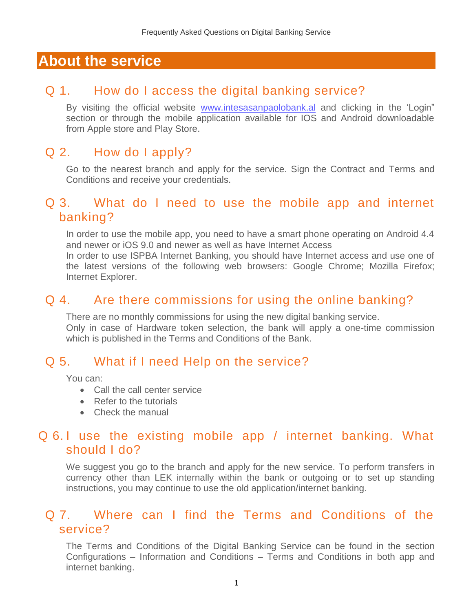## **About the service**

### Q 1. How do I access the digital banking service?

By visiting the official website [www.intesasanpaolobank.al](http://www.intesasanpaolobank.al/) and clicking in the 'Login" section or through the mobile application available for IOS and Android downloadable from Apple store and Play Store.

### Q 2. How do I apply?

Go to the nearest branch and apply for the service. Sign the Contract and Terms and Conditions and receive your credentials.

#### Q 3. What do I need to use the mobile app and internet banking?

In order to use the mobile app, you need to have a smart phone operating on Android 4.4 and newer or iOS 9.0 and newer as well as have Internet Access

In order to use ISPBA Internet Banking, you should have Internet access and use one of the latest versions of the following web browsers: Google Chrome; Mozilla Firefox; Internet Explorer.

## Q 4. Are there commissions for using the online banking?

There are no monthly commissions for using the new digital banking service. Only in case of Hardware token selection, the bank will apply a one-time commission which is published in the Terms and Conditions of the Bank.

## Q 5. What if I need Help on the service?

You can:

- Call the call center service
- Refer to the tutorials
- Check the manual

#### Q 6.1 use the existing mobile app / internet banking. What should I do?

We suggest you go to the branch and apply for the new service. To perform transfers in currency other than LEK internally within the bank or outgoing or to set up standing instructions, you may continue to use the old application/internet banking.

#### Q 7. Where can I find the Terms and Conditions of the service?

The Terms and Conditions of the Digital Banking Service can be found in the section Configurations – Information and Conditions – Terms and Conditions in both app and internet banking.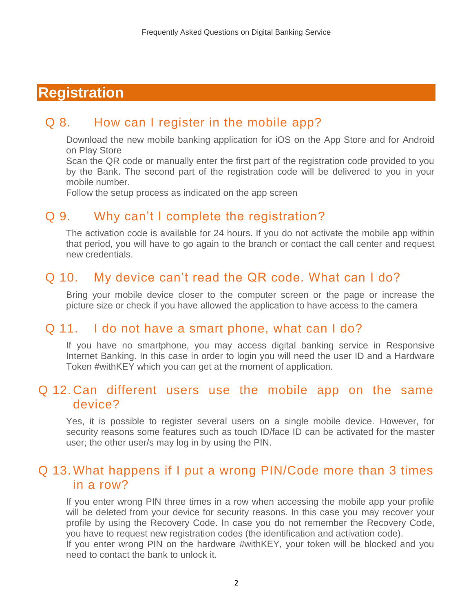# **Registration**

#### Q 8. How can I register in the mobile app?

Download the new mobile banking application for iOS on the App Store and for Android on Play Store

Scan the QR code or manually enter the first part of the registration code provided to you by the Bank. The second part of the registration code will be delivered to you in your mobile number.

Follow the setup process as indicated on the app screen

#### Q 9. Why can't I complete the registration?

The activation code is available for 24 hours. If you do not activate the mobile app within that period, you will have to go again to the branch or contact the call center and request new credentials.

#### Q 10. [My device can't read the QR code. What can I do?](https://with.pbz.hr/en/ufaqs/my-mobile-device-camera-does-not-read-the-qr-code-when-i-want-to-use-the-smart-login-to-login-to-the-pbz-internet-banking-what-do-i-have-to-do-about-it/)

Bring your mobile device closer to the computer screen or the page or increase the picture size or check if you have allowed the application to have access to the camera

#### Q 11. I do not have a smart phone, what can I do?

If you have no smartphone, you may access digital banking service in Responsive Internet Banking. In this case in order to login you will need the user ID and a Hardware Token #withKEY which you can get at the moment of application.

### Q 12. [Can different users use the mobile app on the same](https://with.pbz.hr/en/ufaqs/can-several-different-users-use-the-pbz-mobile-banking-app-on-the-same-device/)  [device?](https://with.pbz.hr/en/ufaqs/can-several-different-users-use-the-pbz-mobile-banking-app-on-the-same-device/)

Yes, it is possible to register several users on a single mobile device. However, for security reasons some features such as touch ID/face ID can be activated for the master user; the other user/s may log in by using the PIN.

#### Q 13. What happens if I put a wrong PIN/Code more than 3 times in a row?

If you enter wrong PIN three times in a row when accessing the mobile app your profile will be deleted from your device for security reasons. In this case you may recover your profile by using the Recovery Code. In case you do not remember the Recovery Code, you have to request new registration codes (the identification and activation code). If you enter wrong PIN on the hardware #withKEY, your token will be blocked and you need to contact the bank to unlock it.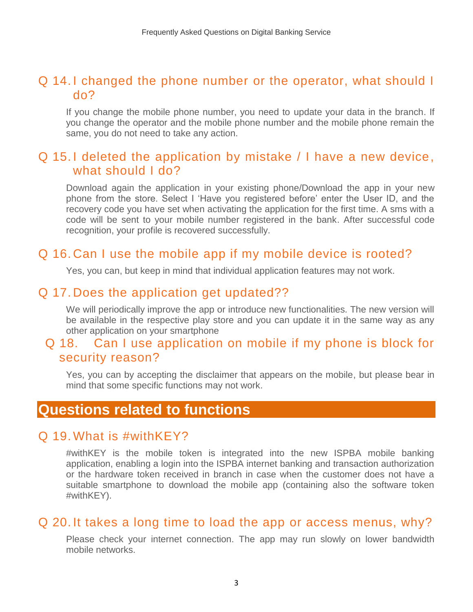### Q 14. I changed the phone number [or the operator, what should I](https://with.pbz.hr/en/ufaqs/what-if-i-change-the-phone-number-the-provider-or-the-subscription-scheme/)  [do?](https://with.pbz.hr/en/ufaqs/what-if-i-change-the-phone-number-the-provider-or-the-subscription-scheme/)

If you change the mobile phone number, you need to update your data in the branch. If you change the operator and the mobile phone number and the mobile phone remain the same, you do not need to take any action.

#### Q 15. I deleted the application by mistake / I have a new device, what should I do?

Download again the application in your existing phone/Download the app in your new phone from the store. Select I 'Have you registered before' enter the User ID, and the recovery code you have set when activating the application for the first time. A sms with a code will be sent to your mobile number registered in the bank. After successful code recognition, your profile is recovered successfully.

#### Q 16. Can I use the mobile app [if my mobile device is rooted?](https://with.pbz.hr/en/ufaqs/can-i-use-the-pbz-mobile-banking-if-my-mobile-device-was-rooted-and-or-jailbroken-or-otherwise-modified-2/)

Yes, you can, but keep in mind that individual application features may not work.

#### Q 17. Does the application get updated??

We will periodically improve the app or introduce new functionalities. The new version will be available in the respective play store and you can update it in the same way as any other application on your smartphone

#### Q 18. Can I use application on mobile if my phone is block for security reason?

Yes, you can by accepting the disclaimer that appears on the mobile, but please bear in mind that some specific functions may not work.

## **Questions related to functions**

#### Q 19. [What is #withKEY?](https://with.pbz.hr/en/ufaqs/what-is-withkey/)

#withKEY is the mobile token is integrated into the new ISPBA mobile banking application, enabling a login into the ISPBA internet banking and transaction authorization or the hardware token received in branch in case when the customer does not have a suitable smartphone to download the mobile app (containing also the software token #withKEY).

#### Q 20. It takes a long time to load the app or access menus, why?

Please check your internet connection. The app may run slowly on lower bandwidth mobile networks.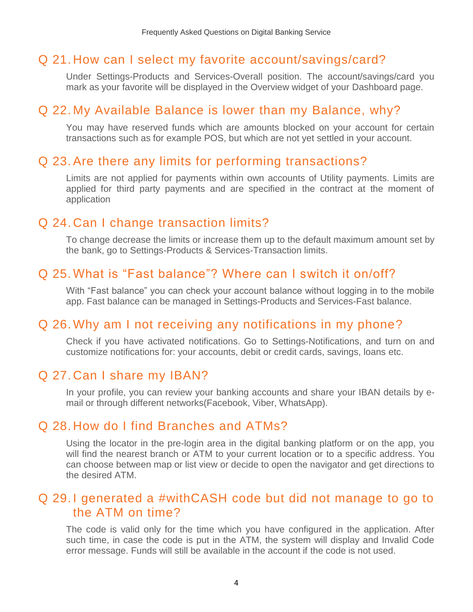### Q 21. How can I select my favorite account/savings/card?

Under Settings-Products and Services-Overall position. The account/savings/card you mark as your favorite will be displayed in the Overview widget of your Dashboard page.

### Q 22. My Available Balance is lower than my Balance, why?

You may have reserved funds which are amounts blocked on your account for certain transactions such as for example POS, but which are not yet settled in your account.

#### Q 23.Are there any limits for performing transactions?

Limits are not applied for payments within own accounts of Utility payments. Limits are applied for third party payments and are specified in the contract at the moment of application

### Q 24. Can I change transaction limits?

To change decrease the limits or increase them up to the default maximum amount set by the bank, go to Settings-Products & Services-Transaction limits.

#### Q 25. What is "Fast balance"? Where can I switch it on/off?

With "Fast balance" you can check your account balance without logging in to the mobile app. Fast balance can be managed [in Settings-Products and Services-Fast balance.](https://with.pbz.hr/en/ufaqs/how-can-i-turn-on-notifications-and-for-which-banking-products/)

### Q 26. Why am I not receiving [any notifications in my phone?](https://with.pbz.hr/en/ufaqs/how-can-i-turn-on-notifications-and-for-which-banking-products/)

Check if you have activated notifications. Go to Settings-Notifications, and turn on and customize notifications for: your accounts, debit or credit cards, savings, loans etc.

#### Q 27. Can I share my IBAN?

In your profile, you can review your banking accounts and share your IBAN details by email or through different networks(Facebook, Viber, WhatsApp).

#### Q 28. How do I find Branches and ATMs?

Using the locator in the pre-login area in the digital banking platform or on the app, you will find the nearest branch or ATM to your current location or to a specific address. You can choose between map or list view or decide to open the navigator and get directions to the desired ATM.

### Q 29. I generated a #withCASH [code but did not manage to go to](https://with.pbz.hr/en/ufaqs/what-is-withcash/)  the [ATM on time?](https://with.pbz.hr/en/ufaqs/what-is-withcash/)

The code is valid only for the time which you have configured in the application. After such time, in case the code is put in the ATM, the system will display and Invalid Code error message. Funds will still be available in the account if the code is not used.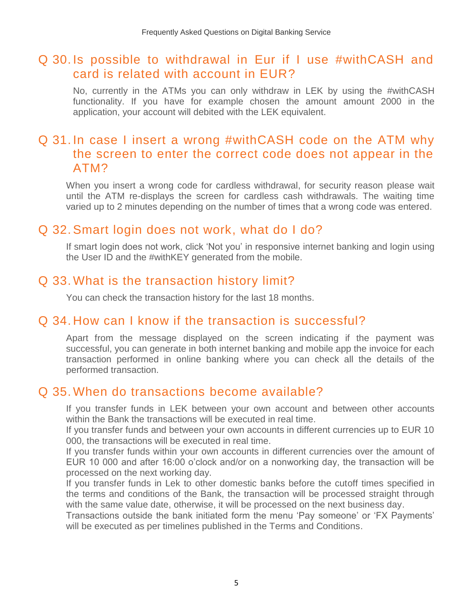### Q 30. Is possible to withdrawal in Eur if I use #withCASH and card is related with account in EUR?

No, currently in the ATMs you can only withdraw in LEK by using the #withCASH functionality. If you have for example chosen the amount amount 2000 in the application, your account will debited with the LEK equivalent.

## Q 31. In case I insert a wrong #withCASH code on the ATM why the screen to enter the correct code does not appear in the ATM?

When you insert a wrong code for cardless withdrawal, for security reason please wait until the ATM re-displays the screen for cardless cash withdrawals. The waiting time varied up to 2 minutes depending on the number of times that a wrong code was entered.

### Q 32.Smart login does not work, what do I do?

If smart login does not work, click 'Not you' in responsive internet banking and login using the User ID and the #withKEY generated from the mobile.

### Q 33. What is the transaction history limit?

You can check the transaction history for the last 18 months.

### Q 34. How can I know if the transaction is successful?

Apart from the message displayed on the screen indicating if the payment was successful, you can generate in both internet banking and mobile app the invoice for each transaction performed in online banking where you can check all the details of the performed transaction.

#### Q 35. [When do transactions](https://with.pbz.hr/en/ufaqs/what-if-i-lose-my-mobile-phone-device-or-if-it-gets-stolen/) become available?

If you transfer funds in LEK between your own account and between other accounts within the Bank the transactions will be executed in real time.

If you transfer funds and between your own accounts in different currencies up to EUR 10 000, the transactions will be executed in real time.

If you transfer funds within your own accounts in different currencies over the amount of EUR 10 000 and after 16:00 o'clock and/or on a nonworking day, the transaction will be processed on the next working day.

If you transfer funds in Lek to other domestic banks before the cutoff times specified in the terms and conditions of the Bank, the transaction will be processed straight through with the same value date, otherwise, it will be processed on the next business day.

Transactions outside the bank initiated form the menu 'Pay someone' or 'FX Payments' will be executed as per timelines published in the Terms and Conditions.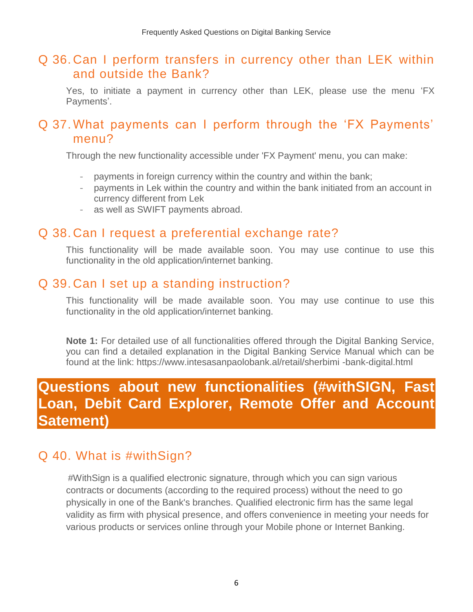### Q 36. Can I perform transfers in currency other than LEK within and outside the Bank?

Yes, to initiate a payment in currency other than LEK, please use the menu 'FX Payments'.

### Q 37. [What payments can I perform through the 'FX Payments'](https://with.pbz.hr/en/ufaqs/what-if-i-lose-my-mobile-phone-device-or-if-it-gets-stolen/)  [menu?](https://with.pbz.hr/en/ufaqs/what-if-i-lose-my-mobile-phone-device-or-if-it-gets-stolen/)

Through the new functionality accessible under 'FX Payment' menu, you can make:

- payments in foreign currency within the country and within the bank;
- payments in Lek within the country and within the bank initiated from an account in currency different from Lek
- as well as SWIFT payments abroad.

## Q 38. [Can I request a preferential exchange rate?](https://with.pbz.hr/en/ufaqs/what-if-i-lose-my-mobile-phone-device-or-if-it-gets-stolen/)

This functionality will be made available soon. You may use continue to use this functionality in the old application/internet banking.

## Q 39. [Can I set up a standing instruction?](https://with.pbz.hr/en/ufaqs/what-if-i-lose-my-mobile-phone-device-or-if-it-gets-stolen/)

This functionality will be made available soon. You may use continue to use this functionality in the old application/internet banking.

**Note 1:** For detailed use of all functionalities offered through the Digital Banking Service, you can find a detailed explanation in the Digital Banking Service Manual which can be found at the link: https://www.intesasanpaolobank.al/retail/sherbimi -bank-digital.html

# **Questions about new functionalities (#withSIGN, Fast Loan, Debit Card Explorer, Remote Offer and Account Satement)**

# Q 40. What is #withSign?

#WithSign is a qualified electronic signature, through which you can sign various contracts or documents (according to the required process) without the need to go physically in one of the Bank's branches. Qualified electronic firm has the same legal validity as firm with physical presence, and offers convenience in meeting your needs for various products or services online through your Mobile phone or Internet Banking.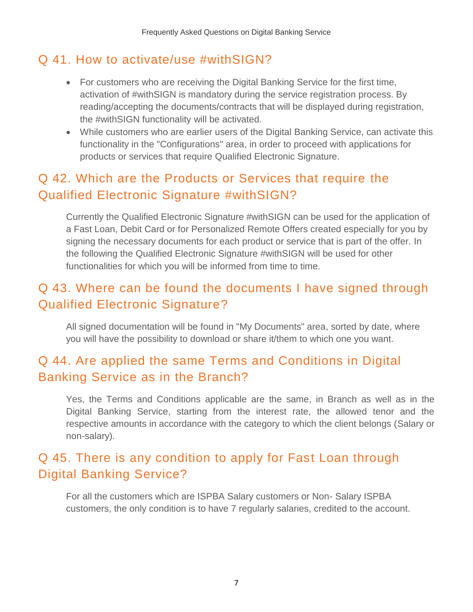## Q 41. How to activate/use #withSIGN?

- For customers who are receiving the Digital Banking Service for the first time, activation of #withSIGN is mandatory during the service registration process. By reading/accepting the documents/contracts that will be displayed during registration, the #withSIGN functionality will be activated.
- While customers who are earlier users of the Digital Banking Service, can activate this functionality in the "Configurations" area, in order to proceed with applications for products or services that require Qualified Electronic Signature.

# Q 42. Which are the Products or Services that require the Qualified Electronic Signature #withSIGN?

Currently the Qualified Electronic Signature #withSIGN can be used for the application of a Fast Loan, Debit Card or for Personalized Remote Offers created especially for you by signing the necessary documents for each product or service that is part of the offer. In the following the Qualified Electronic Signature #withSIGN will be used for other functionalities for which you will be informed from time to time.

# Q 43. Where can be found the documents I have signed through Qualified Electronic Signature?

All signed documentation will be found in "My Documents" area, sorted by date, where you will have the possibility to download or share it/them to which one you want.

# Q 44. Are applied the same Terms and Conditions in Digital Banking Service as in the Branch?

Yes, the Terms and Conditions applicable are the same, in Branch as well as in the Digital Banking Service, starting from the interest rate, the allowed tenor and the respective amounts in accordance with the category to which the client belongs (Salary or non-salary).

# Q 45. There is any condition to apply for Fast Loan through Digital Banking Service?

For all the customers which are ISPBA Salary customers or Non- Salary ISPBA customers, the only condition is to have 7 regularly salaries, credited to the account.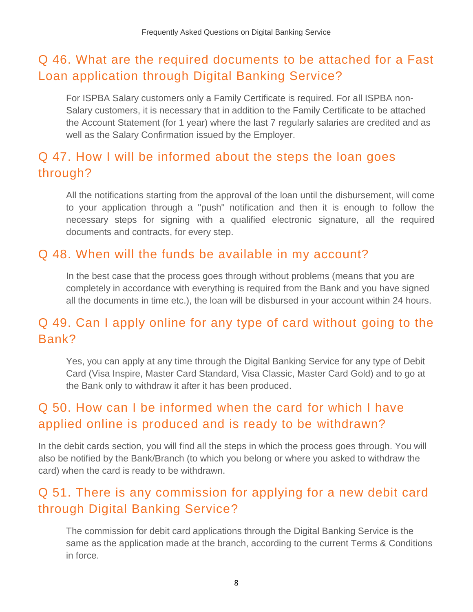# Q 46. What are the required documents to be attached for a Fast Loan application through Digital Banking Service?

For ISPBA Salary customers only a Family Certificate is required. For all ISPBA non-Salary customers, it is necessary that in addition to the Family Certificate to be attached the Account Statement (for 1 year) where the last 7 regularly salaries are credited and as well as the Salary Confirmation issued by the Employer.

# Q 47. How I will be informed about the steps the loan goes through?

All the notifications starting from the approval of the loan until the disbursement, will come to your application through a "push" notification and then it is enough to follow the necessary steps for signing with a qualified electronic signature, all the required documents and contracts, for every step.

## Q 48. When will the funds be available in my account?

In the best case that the process goes through without problems (means that you are completely in accordance with everything is required from the Bank and you have signed all the documents in time etc.), the loan will be disbursed in your account within 24 hours.

## Q 49. Can I apply online for any type of card without going to the Bank?

Yes, you can apply at any time through the Digital Banking Service for any type of Debit Card (Visa Inspire, Master Card Standard, Visa Classic, Master Card Gold) and to go at the Bank only to withdraw it after it has been produced.

# Q 50. How can I be informed when the card for which I have applied online is produced and is ready to be withdrawn?

In the debit cards section, you will find all the steps in which the process goes through. You will also be notified by the Bank/Branch (to which you belong or where you asked to withdraw the card) when the card is ready to be withdrawn.

## Q 51. There is any commission for applying for a new debit card through Digital Banking Service?

The commission for debit card applications through the Digital Banking Service is the same as the application made at the branch, according to the current Terms & Conditions in force.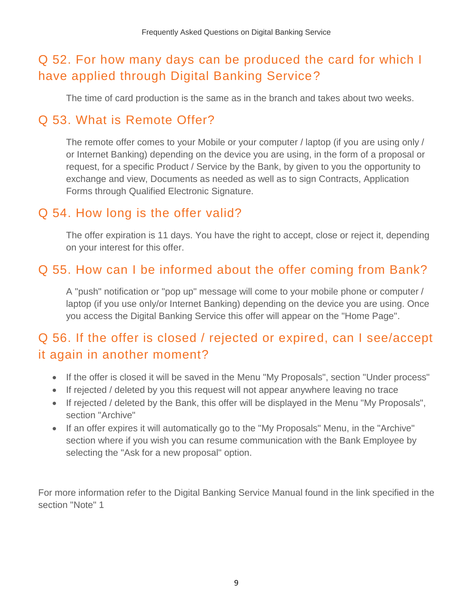# Q 52. For how many days can be produced the card for which I have applied through Digital Banking Service?

The time of card production is the same as in the branch and takes about two weeks.

## Q 53. What is Remote Offer?

The remote offer comes to your Mobile or your computer / laptop (if you are using only / or Internet Banking) depending on the device you are using, in the form of a proposal or request, for a specific Product / Service by the Bank, by given to you the opportunity to exchange and view, Documents as needed as well as to sign Contracts, Application Forms through Qualified Electronic Signature.

## Q 54. How long is the offer valid?

The offer expiration is 11 days. You have the right to accept, close or reject it, depending on your interest for this offer.

## Q 55. How can I be informed about the offer coming from Bank?

A "push" notification or "pop up" message will come to your mobile phone or computer / laptop (if you use only/or Internet Banking) depending on the device you are using. Once you access the Digital Banking Service this offer will appear on the "Home Page".

# Q 56. If the offer is closed / rejected or expired, can I see/accept it again in another moment?

- If the offer is closed it will be saved in the Menu "My Proposals", section "Under process"
- If rejected / deleted by you this request will not appear anywhere leaving no trace
- If rejected / deleted by the Bank, this offer will be displayed in the Menu "My Proposals", section "Archive"
- If an offer expires it will automatically go to the "My Proposals" Menu, in the "Archive" section where if you wish you can resume communication with the Bank Employee by selecting the "Ask for a new proposal" option.

For more information refer to the Digital Banking Service Manual found in the link specified in the section "Note" 1